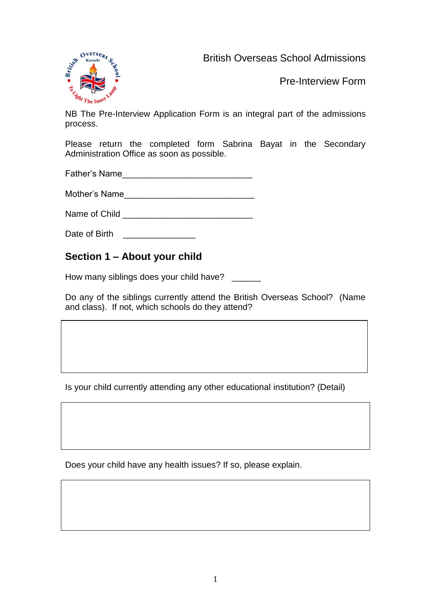British Overseas School Admissions



Pre-Interview Form

NB The Pre-Interview Application Form is an integral part of the admissions process.

Please return the completed form Sabrina Bayat in the Secondary Administration Office as soon as possible.

Father's Name

Mother's Name

Name of Child \_\_\_\_\_\_\_\_\_\_\_\_\_\_\_\_\_\_\_\_\_\_\_\_\_\_\_

Date of Birth **Exercise 20** 

## **Section 1 – About your child**

How many siblings does your child have? \_\_\_\_\_

Do any of the siblings currently attend the British Overseas School? (Name and class). If not, which schools do they attend?

Is your child currently attending any other educational institution? (Detail)

Does your child have any health issues? If so, please explain.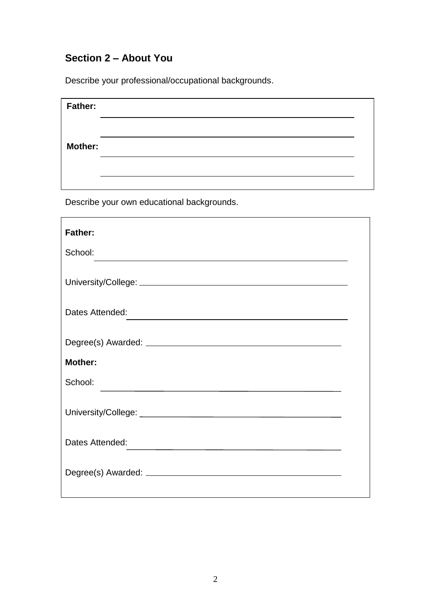## **Section 2 – About You**

Describe your professional/occupational backgrounds.

| <b>Father:</b> |  |
|----------------|--|
|                |  |
| <b>Mother:</b> |  |
|                |  |
|                |  |

Describe your own educational backgrounds.

| <b>Father:</b>                                                                                                                     |  |  |
|------------------------------------------------------------------------------------------------------------------------------------|--|--|
| School:<br><u> 1989 - Johann Stoff, amerikansk politiker (* 1908)</u>                                                              |  |  |
|                                                                                                                                    |  |  |
| Dates Attended:                                                                                                                    |  |  |
|                                                                                                                                    |  |  |
| <b>Mother:</b>                                                                                                                     |  |  |
| School:                                                                                                                            |  |  |
|                                                                                                                                    |  |  |
| Dates Attended:<br>the contract of the contract of the contract of the contract of the contract of the contract of the contract of |  |  |
|                                                                                                                                    |  |  |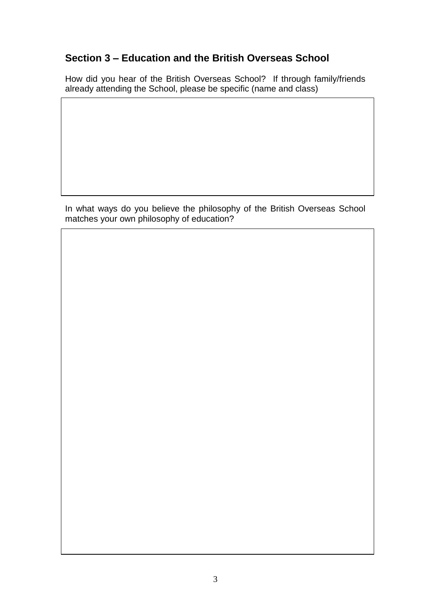## **Section 3 – Education and the British Overseas School**

How did you hear of the British Overseas School? If through family/friends already attending the School, please be specific (name and class)

In what ways do you believe the philosophy of the British Overseas School matches your own philosophy of education?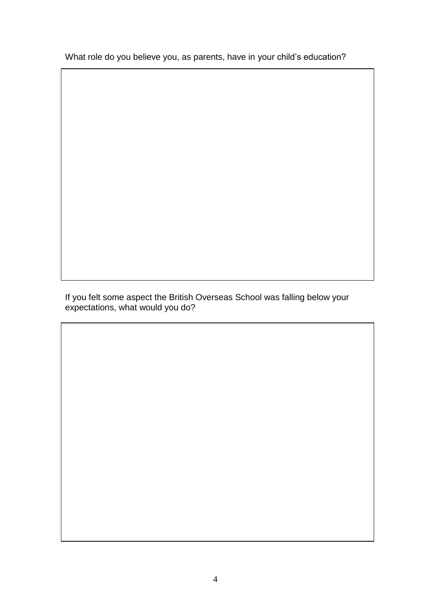What role do you believe you, as parents, have in your child's education?

If you felt some aspect the British Overseas School was falling below your expectations, what would you do?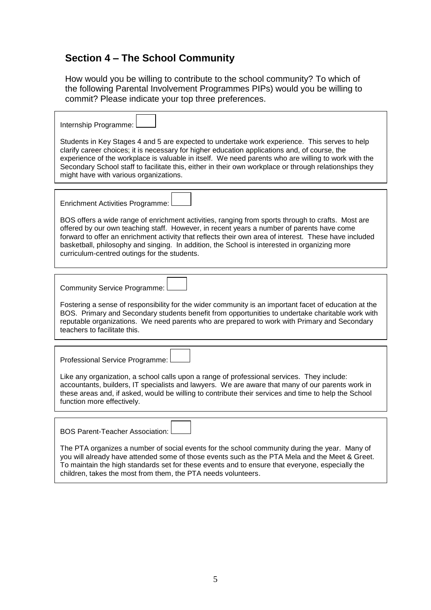## **Section 4 – The School Community**

How would you be willing to contribute to the school community? To which of the following Parental Involvement Programmes PIPs) would you be willing to commit? Please indicate your top three preferences.

 $\overline{\phantom{0}}$ 

| Internship Programme:<br>Students in Key Stages 4 and 5 are expected to undertake work experience. This serves to help<br>clarify career choices; it is necessary for higher education applications and, of course, the<br>experience of the workplace is valuable in itself. We need parents who are willing to work with the<br>Secondary School staff to facilitate this, either in their own workplace or through relationships they<br>might have with various organizations.                 |
|----------------------------------------------------------------------------------------------------------------------------------------------------------------------------------------------------------------------------------------------------------------------------------------------------------------------------------------------------------------------------------------------------------------------------------------------------------------------------------------------------|
|                                                                                                                                                                                                                                                                                                                                                                                                                                                                                                    |
| <b>Enrichment Activities Programme:</b><br>BOS offers a wide range of enrichment activities, ranging from sports through to crafts. Most are<br>offered by our own teaching staff. However, in recent years a number of parents have come<br>forward to offer an enrichment activity that reflects their own area of interest. These have included<br>basketball, philosophy and singing. In addition, the School is interested in organizing more<br>curriculum-centred outings for the students. |
|                                                                                                                                                                                                                                                                                                                                                                                                                                                                                                    |
| <b>Community Service Programme:</b>                                                                                                                                                                                                                                                                                                                                                                                                                                                                |
| Fostering a sense of responsibility for the wider community is an important facet of education at the<br>BOS. Primary and Secondary students benefit from opportunities to undertake charitable work with<br>reputable organizations. We need parents who are prepared to work with Primary and Secondary<br>teachers to facilitate this.                                                                                                                                                          |
|                                                                                                                                                                                                                                                                                                                                                                                                                                                                                                    |
| Professional Service Programme:                                                                                                                                                                                                                                                                                                                                                                                                                                                                    |
| Like any organization, a school calls upon a range of professional services. They include:<br>accountants, builders, IT specialists and lawyers. We are aware that many of our parents work in<br>these areas and, if asked, would be willing to contribute their services and time to help the School<br>function more effectively.                                                                                                                                                               |
|                                                                                                                                                                                                                                                                                                                                                                                                                                                                                                    |
| <b>BOS Parent-Teacher Association:</b>                                                                                                                                                                                                                                                                                                                                                                                                                                                             |
| The PTA organizes a number of social events for the school community during the year. Many of<br>you will already have attended some of those events such as the PTA Mela and the Meet & Greet.<br>To maintain the high standards set for these events and to ensure that everyone, especially the<br>children, takes the most from them, the PTA needs volunteers.                                                                                                                                |